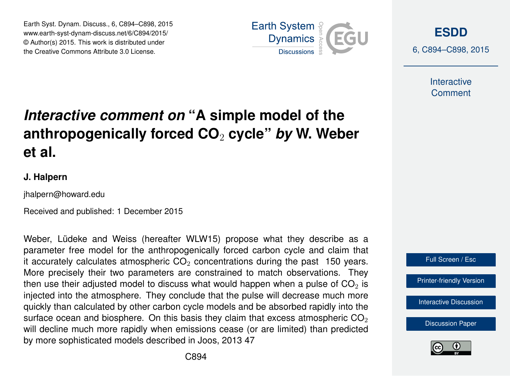Earth Syst. Dynam. Discuss., 6, C894–C898, 2015 www.earth-syst-dynam-discuss.net/6/C894/2015/ © Author(s) 2015. This work is distributed under the Creative Commons Attribute 3.0 License.



**[ESDD](http://www.earth-syst-dynam-discuss.net)**

6, C894–C898, 2015

**Interactive Comment** 

# *Interactive comment on* **"A simple model of the anthropogenically forced CO**<sup>2</sup> **cycle"** *by* **W. Weber et al.**

#### **J. Halpern**

jhalpern@howard.edu

Received and published: 1 December 2015

Weber, Lüdeke and Weiss (hereafter WLW15) propose what they describe as a parameter free model for the anthropogenically forced carbon cycle and claim that it accurately calculates atmospheric  $CO<sub>2</sub>$  concentrations during the past 150 years. More precisely their two parameters are constrained to match observations. They then use their adjusted model to discuss what would happen when a pulse of  $CO<sub>2</sub>$  is injected into the atmosphere. They conclude that the pulse will decrease much more quickly than calculated by other carbon cycle models and be absorbed rapidly into the surface ocean and biosphere. On this basis they claim that excess atmospheric  $CO<sub>2</sub>$ will decline much more rapidly when emissions cease (or are limited) than predicted by more sophisticated models described in Joos, 2013 47



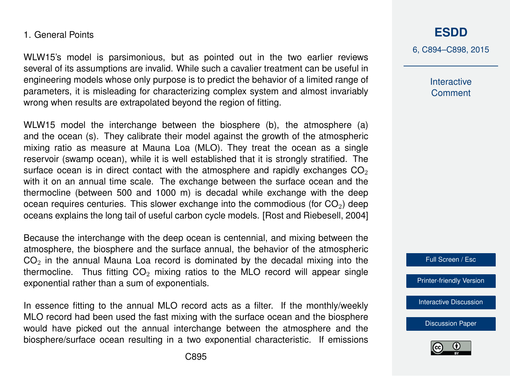#### 1. General Points

WLW15's model is parsimonious, but as pointed out in the two earlier reviews several of its assumptions are invalid. While such a cavalier treatment can be useful in engineering models whose only purpose is to predict the behavior of a limited range of parameters, it is misleading for characterizing complex system and almost invariably wrong when results are extrapolated beyond the region of fitting.

WLW15 model the interchange between the biosphere (b), the atmosphere (a) and the ocean (s). They calibrate their model against the growth of the atmospheric mixing ratio as measure at Mauna Loa (MLO). They treat the ocean as a single reservoir (swamp ocean), while it is well established that it is strongly stratified. The surface ocean is in direct contact with the atmosphere and rapidly exchanges  $CO<sub>2</sub>$ with it on an annual time scale. The exchange between the surface ocean and the thermocline (between 500 and 1000 m) is decadal while exchange with the deep ocean requires centuries. This slower exchange into the commodious (for  $CO<sub>2</sub>$ ) deep oceans explains the long tail of useful carbon cycle models. [Rost and Riebesell, 2004]

Because the interchange with the deep ocean is centennial, and mixing between the atmosphere, the biosphere and the surface annual, the behavior of the atmospheric  $CO<sub>2</sub>$  in the annual Mauna Loa record is dominated by the decadal mixing into the thermocline. Thus fitting  $CO<sub>2</sub>$  mixing ratios to the MLO record will appear single exponential rather than a sum of exponentials.

In essence fitting to the annual MLO record acts as a filter. If the monthly/weekly MLO record had been used the fast mixing with the surface ocean and the biosphere would have picked out the annual interchange between the atmosphere and the biosphere/surface ocean resulting in a two exponential characteristic. If emissions

# **[ESDD](http://www.earth-syst-dynam-discuss.net)**

6, C894–C898, 2015

**Interactive Comment** 



[Printer-friendly Version](http://www.earth-syst-dynam-discuss.net/6/C894/2015/esdd-6-C894-2015-print.pdf)

[Interactive Discussion](http://www.earth-syst-dynam-discuss.net/6/2043/2015/esdd-6-2043-2015-discussion.html)

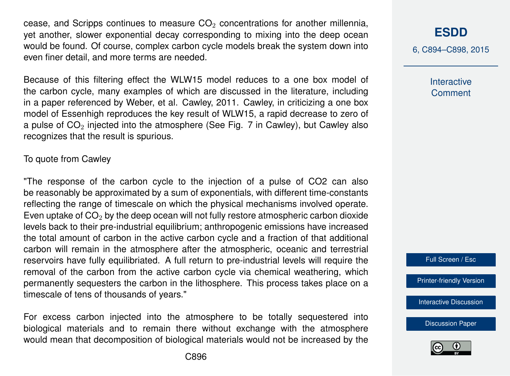cease, and Scripps continues to measure  $CO<sub>2</sub>$  concentrations for another millennia, yet another, slower exponential decay corresponding to mixing into the deep ocean would be found. Of course, complex carbon cycle models break the system down into even finer detail, and more terms are needed.

Because of this filtering effect the WLW15 model reduces to a one box model of the carbon cycle, many examples of which are discussed in the literature, including in a paper referenced by Weber, et al. Cawley, 2011. Cawley, in criticizing a one box model of Essenhigh reproduces the key result of WLW15, a rapid decrease to zero of a pulse of  $CO<sub>2</sub>$  injected into the atmosphere (See Fig. 7 in Cawley), but Cawley also recognizes that the result is spurious.

#### To quote from Cawley

"The response of the carbon cycle to the injection of a pulse of CO2 can also be reasonably be approximated by a sum of exponentials, with different time-constants reflecting the range of timescale on which the physical mechanisms involved operate. Even uptake of  $CO<sub>2</sub>$  by the deep ocean will not fully restore atmospheric carbon dioxide levels back to their pre-industrial equilibrium; anthropogenic emissions have increased the total amount of carbon in the active carbon cycle and a fraction of that additional carbon will remain in the atmosphere after the atmospheric, oceanic and terrestrial reservoirs have fully equilibriated. A full return to pre-industrial levels will require the removal of the carbon from the active carbon cycle via chemical weathering, which permanently sequesters the carbon in the lithosphere. This process takes place on a timescale of tens of thousands of years."

For excess carbon injected into the atmosphere to be totally sequestered into biological materials and to remain there without exchange with the atmosphere would mean that decomposition of biological materials would not be increased by the

### **[ESDD](http://www.earth-syst-dynam-discuss.net)**

6, C894–C898, 2015

**Interactive Comment** 



[Printer-friendly Version](http://www.earth-syst-dynam-discuss.net/6/C894/2015/esdd-6-C894-2015-print.pdf)

[Interactive Discussion](http://www.earth-syst-dynam-discuss.net/6/2043/2015/esdd-6-2043-2015-discussion.html)

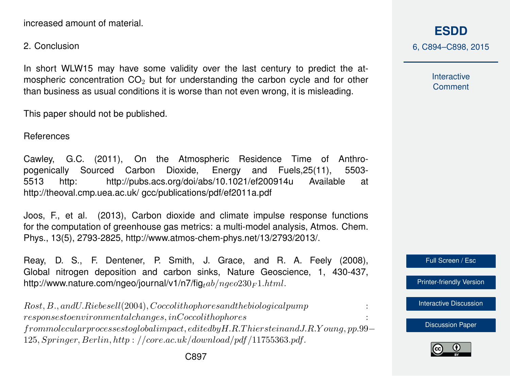increased amount of material.

2. Conclusion

In short WLW15 may have some validity over the last century to predict the atmospheric concentration  $CO<sub>2</sub>$  but for understanding the carbon cycle and for other than business as usual conditions it is worse than not even wrong, it is misleading.

This paper should not be published.

References

Cawley, G.C. (2011), On the Atmospheric Residence Time of Anthropogenically Sourced Carbon Dioxide, Energy and Fuels,25(11), 5503- 5513 http: http://pubs.acs.org/doi/abs/10.1021/ef200914u Available at http://theoval.cmp.uea.ac.uk/ gcc/publications/pdf/ef2011a.pdf

Joos, F., et al. (2013), Carbon dioxide and climate impulse response functions for the computation of greenhouse gas metrics: a multi-model analysis, Atmos. Chem. Phys., 13(5), 2793-2825, http://www.atmos-chem-phys.net/13/2793/2013/.

Reay, D. S., F. Dentener, P. Smith, J. Grace, and R. A. Feely (2008), Global nitrogen deposition and carbon sinks, Nature Geoscience, 1, 430-437, http://www.nature.com/ngeo/journal/v1/n7/fig<sub>tab</sub>/ $nqeo230$ <sub>F1</sub>.html.

Rost, B., andU.Riebesell(2004), Coccolithophoresandthebiologicalpump :  $response stoenvironmental changes, in Coccoli thophores$ frommolecularprocessestoglobalimpact, editedbyH.R.T hiersteinandJ.R.Y oung, pp.99− 125, Springer, Berlin, http : //core.ac.uk/download/pdf /11755363.pdf.

**[ESDD](http://www.earth-syst-dynam-discuss.net)** 6, C894–C898, 2015

> Interactive **Comment**

Full Screen / Esc

[Printer-friendly Version](http://www.earth-syst-dynam-discuss.net/6/C894/2015/esdd-6-C894-2015-print.pdf)

[Interactive Discussion](http://www.earth-syst-dynam-discuss.net/6/2043/2015/esdd-6-2043-2015-discussion.html)